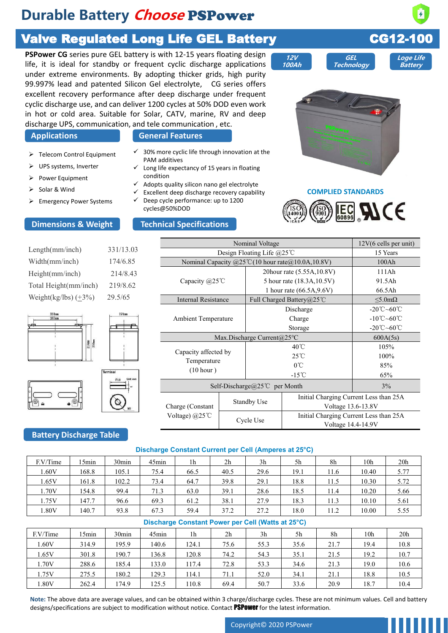# **Durable Battery** *Choose* **PSPower**

# Valve Regulated Long Life GEL Battery CG12-100

**PSPower CG** series pure GEL battery is with 12-15 years floating design life, it is ideal for standby or frequent cyclic discharge applications under extreme environments. By adopting thicker grids, high purity 99.997% lead and patented Silicon Gel electrolyte, CG series offers excellent recovery performance after deep discharge under frequent cyclic discharge use, and can deliver 1200 cycles at 50% DOD even work in hot or cold area. Suitable for Solar, CATV, marine, RV and deep discharge UPS, communication, and tele communication , etc.

- ➢ Telecom Control Equipment
- ➢ UPS systems, Inverter
- ➢ Power Equipment
- ➢ Solar & Wind
- ➢ Emergency Power Systems

## **Applications General Features**

- $\checkmark$  30% more cyclic life through innovation at the PAM additives
- $\checkmark$  Long life expectancy of 15 years in floating condition
- Adopts quality silicon nano gel electrolyte
- $\checkmark$  Excellent deep discharge recovery capability
- $\checkmark$  Deep cycle performance: up to 1200 cycles@50%DOD

### **Dimensions & Weight Technical Specifications**

| Length(mm/inch)            | 331/13.03 |              |
|----------------------------|-----------|--------------|
| Width(mm/inch)             | 174/6.85  | Nominal O    |
| Height(mm/inch)            | 214/8.43  |              |
| Total Height(mm/inch)      | 219/8.62  | Capacity (   |
| Weight(kg/lbs) $(\pm 3\%)$ | 29.5/65   | Internal Res |





## **Battery Discharge Table**

| <b>Telecom Control Equipment</b><br>UPS systems, Inverter<br>Power Equipment<br>Solar & Wind<br><b>Emergency Power Systems</b><br>imensions & Weight |         |           | $\checkmark$ 30% more cyclic life through innovation at the<br>PAM additives<br>$\checkmark$ Long life expectancy of 15 years in floating<br>condition<br>✓<br>cycles@50%DOD | Adopts quality silicon nano gel electrolyte<br>Excellent deep discharge recovery capability<br>Deep cycle performance: up to 1200<br><b>Technical Specifications</b> |      |                                                                           |                                                                                            | <b>COMPLIED STANDARDS</b> | <b>IEC ALCE</b>                                              |                                       |  |
|------------------------------------------------------------------------------------------------------------------------------------------------------|---------|-----------|------------------------------------------------------------------------------------------------------------------------------------------------------------------------------|----------------------------------------------------------------------------------------------------------------------------------------------------------------------|------|---------------------------------------------------------------------------|--------------------------------------------------------------------------------------------|---------------------------|--------------------------------------------------------------|---------------------------------------|--|
|                                                                                                                                                      |         |           |                                                                                                                                                                              |                                                                                                                                                                      |      | Nominal Voltage                                                           |                                                                                            |                           |                                                              | 12V(6 cells per unit)                 |  |
| ngth(mm/inch)                                                                                                                                        |         | 331/13.03 |                                                                                                                                                                              |                                                                                                                                                                      |      | Design Floating Life @25°C                                                |                                                                                            |                           |                                                              | 15 Years                              |  |
| idth(mm/inch)                                                                                                                                        |         | 174/6.85  |                                                                                                                                                                              |                                                                                                                                                                      |      |                                                                           | Nominal Capacity $@25^{\circ}\text{C}(10 \text{ hour rate} @10.0 \text{A}, 10.8 \text{V})$ |                           | 100Ah                                                        |                                       |  |
| eight(mm/inch)                                                                                                                                       |         | 214/8.43  |                                                                                                                                                                              |                                                                                                                                                                      |      |                                                                           | 20hour rate (5.55A, 10.8V)                                                                 | 111Ah                     |                                                              |                                       |  |
|                                                                                                                                                      |         |           |                                                                                                                                                                              | Capacity @25°C                                                                                                                                                       |      |                                                                           | 5 hour rate (18.3A, 10.5V)                                                                 | 91.5Ah                    |                                                              |                                       |  |
| tal Height(mm/inch)                                                                                                                                  |         | 219/8.62  |                                                                                                                                                                              |                                                                                                                                                                      |      |                                                                           | 1 hour rate (66.5A, 9.6V)                                                                  | 66.5Ah                    |                                                              |                                       |  |
| eight(kg/lbs) $(\pm 3\%)$                                                                                                                            |         | 29.5/65   |                                                                                                                                                                              | <b>Internal Resistance</b>                                                                                                                                           |      | Full Charged Battery@25℃                                                  |                                                                                            |                           | $\leq 5.0$ m $\Omega$                                        |                                       |  |
| 331mm                                                                                                                                                |         | 174mm     |                                                                                                                                                                              |                                                                                                                                                                      |      |                                                                           | Discharge                                                                                  |                           |                                                              | -20 $\degree$ C $\sim$ 60 $\degree$ C |  |
|                                                                                                                                                      |         |           |                                                                                                                                                                              | Ambient Temperature                                                                                                                                                  |      |                                                                           | Charge                                                                                     |                           | $-10^{\circ}$ C $-60^{\circ}$ C                              |                                       |  |
|                                                                                                                                                      |         |           |                                                                                                                                                                              |                                                                                                                                                                      |      |                                                                           | Storage                                                                                    |                           |                                                              | -20°C~60°C                            |  |
|                                                                                                                                                      |         |           |                                                                                                                                                                              |                                                                                                                                                                      |      | Max.Discharge Current@25°C                                                |                                                                                            |                           |                                                              | 600A(5s)                              |  |
|                                                                                                                                                      | 219m    |           |                                                                                                                                                                              | Capacity affected by                                                                                                                                                 |      | $40^{\circ}$ C                                                            |                                                                                            |                           | 105%                                                         |                                       |  |
|                                                                                                                                                      |         |           |                                                                                                                                                                              | Temperature                                                                                                                                                          |      | 25°C                                                                      |                                                                                            |                           | 100%                                                         |                                       |  |
| armina                                                                                                                                               |         |           | (10 hour)                                                                                                                                                                    |                                                                                                                                                                      |      | $0^{\circ}$ C                                                             |                                                                                            |                           | 85%                                                          |                                       |  |
|                                                                                                                                                      | Unit_mr |           |                                                                                                                                                                              |                                                                                                                                                                      |      |                                                                           | $-15^{\circ}$ C                                                                            |                           |                                                              | 65%                                   |  |
|                                                                                                                                                      |         |           |                                                                                                                                                                              |                                                                                                                                                                      |      | Self-Discharge@25℃ per Month                                              | 3%                                                                                         |                           |                                                              |                                       |  |
|                                                                                                                                                      |         |           |                                                                                                                                                                              | Charge (Constant                                                                                                                                                     |      | <b>Standby Use</b>                                                        |                                                                                            |                           | Initial Charging Current Less than 25A<br>Voltage 13.6-13.8V |                                       |  |
|                                                                                                                                                      |         |           |                                                                                                                                                                              | Voltage) $(a)25^{\circ}$ C                                                                                                                                           |      | Initial Charging Current Less than 25A<br>Cycle Use<br>Voltage 14.4-14.9V |                                                                                            |                           |                                                              |                                       |  |
| <b>attery Discharge Table</b>                                                                                                                        |         |           |                                                                                                                                                                              |                                                                                                                                                                      |      |                                                                           |                                                                                            |                           |                                                              |                                       |  |
|                                                                                                                                                      |         |           | Discharge Constant Current per Cell (Amperes at 25°C)                                                                                                                        |                                                                                                                                                                      |      |                                                                           |                                                                                            |                           |                                                              |                                       |  |
| F.V/Time                                                                                                                                             | 15min   | 30min     | 45min                                                                                                                                                                        | $1\mathrm{h}$                                                                                                                                                        | 2h   | 3h                                                                        | 5h                                                                                         | 8h                        | 10 <sub>h</sub>                                              | 20h                                   |  |
| 1.60V                                                                                                                                                | 168.8   | 105.1     | 75.4                                                                                                                                                                         | 66.5                                                                                                                                                                 | 40.5 | 29.6                                                                      | 19.1                                                                                       | 11.6                      | 10.40                                                        | 5.77                                  |  |
| 1.65V                                                                                                                                                | 161.8   | 102.2     | 73.4                                                                                                                                                                         | 64.7                                                                                                                                                                 | 39.8 | 29.1                                                                      | 18.8                                                                                       | 11.5                      | 10.30                                                        | 5.72                                  |  |
| 1.70V                                                                                                                                                | 154.8   | 99.4      | 71.3                                                                                                                                                                         | 63.0                                                                                                                                                                 | 39.1 | 28.6                                                                      | 18.5                                                                                       | 11.4                      | 10.20                                                        | 5.66                                  |  |

### **Discharge Constant Current per Cell (Amperes at 25°C)**

|                                |       | Terminal<br>Unit_mm |                        | $(10 \text{ hour})$                                   |           |                                                              | $-15^{\circ}$ C |      |                                                              | 65%             |  |
|--------------------------------|-------|---------------------|------------------------|-------------------------------------------------------|-----------|--------------------------------------------------------------|-----------------|------|--------------------------------------------------------------|-----------------|--|
|                                |       |                     |                        | Self-Discharge@25℃ per Month                          |           |                                                              |                 |      |                                                              | $3\%$           |  |
|                                |       | Q                   |                        | Charge (Constant                                      |           | <b>Standby Use</b>                                           |                 |      | Initial Charging Current Less than 25A<br>Voltage 13.6-13.8V |                 |  |
|                                |       |                     | Voltage) $@25^\circ C$ |                                                       | Cycle Use | Initial Charging Current Less than 25A<br>Voltage 14.4-14.9V |                 |      |                                                              |                 |  |
| <b>Battery Discharge Table</b> |       |                     |                        |                                                       |           |                                                              |                 |      |                                                              |                 |  |
|                                |       |                     |                        | Discharge Constant Current per Cell (Amperes at 25°C) |           |                                                              |                 |      |                                                              |                 |  |
| F.V/Time                       | 15min | 30 <sub>min</sub>   | 45min                  | 1 <sub>h</sub>                                        | 2h        | 3h                                                           | 5h              | 8h   | 10h                                                          | 20 <sub>h</sub> |  |
| 1.60V                          | 168.8 | 105.1               | 75.4                   | 66.5                                                  | 40.5      | 29.6                                                         | 19.1            | 11.6 | 10.40                                                        | 5.77            |  |
| 1.65V                          | 161.8 | 102.2               | 73.4                   | 64.7                                                  | 39.8      | 29.1                                                         | 18.8            | 11.5 | 10.30                                                        | 5.72            |  |
| 1.70V                          | 154.8 | 99.4                | 71.3                   | 63.0                                                  | 39.1      | 28.6                                                         | 18.5            | 11.4 | 10.20                                                        | 5.66            |  |
| 1.75V                          | 147.7 | 96.6                | 69.3                   | 61.2                                                  | 38.1      | 27.9                                                         | 18.3            | 11.3 | 10.10                                                        | 5.61            |  |
| 1.80V                          | 140.7 | 93.8                | 67.3                   | 59.4                                                  | 37.2      | 27.2                                                         | 18.0            | 11.2 | 10.00                                                        | 5.55            |  |
|                                |       |                     |                        | Discharge Constant Power per Cell (Watts at 25°C)     |           |                                                              |                 |      |                                                              |                 |  |
| F.V/Time                       | 15min | 30min               | 45min                  | 1 <sub>h</sub>                                        | 2h        | 3h                                                           | 5h              | 8h   | 10 <sub>h</sub>                                              | 20h             |  |
| 1.60V                          | 314.9 | 195.9               | 140.6                  | 124.1                                                 | 75.6      | 55.3                                                         | 35.6            | 21.7 | 19.4                                                         | 10.8            |  |
| 1.65V                          | 301.8 | 190.7               | 136.8                  | 120.8                                                 | 74.2      | 54.3                                                         | 35.1            | 21.5 | 19.2                                                         | 10.7            |  |
| 1.70V                          | 288.6 | 185.4               | 133.0                  | 117.4                                                 | 72.8      | 53.3                                                         | 34.6            | 21.3 | 19.0                                                         | 10.6            |  |
| 1.75V                          | 275.5 | 180.2               | 129.3                  | 114.1                                                 | 71.1      | 52.0                                                         | 34.1            | 21.1 | 18.8                                                         | 10.5            |  |

### **Discharge Constant Power per Cell (Watts at 25°C)**

| 15min<br>$45$ min<br>F.V/Time<br>30 <sub>min</sub><br>1 <sub>h</sub>                                                                                                                                                                                                   | 2 <sub>h</sub> | 3h   | 5h   | 8h   | 10 <sub>h</sub> | 20 <sub>h</sub> |
|------------------------------------------------------------------------------------------------------------------------------------------------------------------------------------------------------------------------------------------------------------------------|----------------|------|------|------|-----------------|-----------------|
| 1.60V<br>168.8<br>105.1<br>75.4<br>66.5                                                                                                                                                                                                                                | 40.5           | 29.6 | 19.1 | 11.6 | 10.40           | 5.77            |
| 1.65V<br>161.8<br>102.2<br>64.7<br>73.4                                                                                                                                                                                                                                | 39.8           | 29.1 | 18.8 | 11.5 | 10.30           | 5.72            |
| 1.70V<br>154.8<br>71.3<br>99.4<br>63.0                                                                                                                                                                                                                                 | 39.1           | 28.6 | 18.5 | 11.4 | 10.20           | 5.66            |
| 147.7<br>1.75V<br>96.6<br>69.3<br>61.2                                                                                                                                                                                                                                 | 38.1           | 27.9 | 18.3 | 11.3 | 10.10           | 5.61            |
| 93.8<br>67.3<br>1.80V<br>140.7<br>59.4                                                                                                                                                                                                                                 | 37.2           | 27.2 | 18.0 | 11.2 | 10.00           | 5.55            |
| Discharge Constant Power per Cell (Watts at 25°C)                                                                                                                                                                                                                      |                |      |      |      |                 |                 |
| 15min<br>45min<br>F.V/Time<br>30 <sub>min</sub><br>1h                                                                                                                                                                                                                  | 2h             | 3h   | 5h   | 8h   | 10 <sub>h</sub> | 20h             |
| 1.60V<br>314.9<br>195.9<br>140.6<br>124.1                                                                                                                                                                                                                              | 75.6           | 55.3 | 35.6 | 21.7 | 19.4            | 10.8            |
| 1.65V<br>301.8<br>190.7<br>136.8<br>120.8                                                                                                                                                                                                                              | 74.2           | 54.3 | 35.1 | 21.5 | 19.2            | 10.7            |
| 1.70V<br>288.6<br>185.4<br>133.0<br>117.4                                                                                                                                                                                                                              | 72.8           | 53.3 | 34.6 | 21.3 | 19.0            | 10.6            |
| 1.75V<br>275.5<br>180.2<br>129.3<br>114.1                                                                                                                                                                                                                              | 71.1           | 52.0 | 34.1 | 21.1 | 18.8            | 10.5            |
| 1.80V<br>174.9<br>125.5<br>110.8<br>262.4                                                                                                                                                                                                                              | 69.4           | 50.7 | 33.6 | 20.9 | 18.7            | 10.4            |
| Note: The above data are average values, and can be obtained within 3 charge/discharge cycles. These are not minimum values. Cell and battery<br>designs/specifications are subject to modification without notice. Contact <b>PSPOWET</b> for the latest information. |                |      |      |      |                 |                 |

Copyright© 2020 PSPower



**Loge Life Battery**

**12V 100Ah GEL Technology**